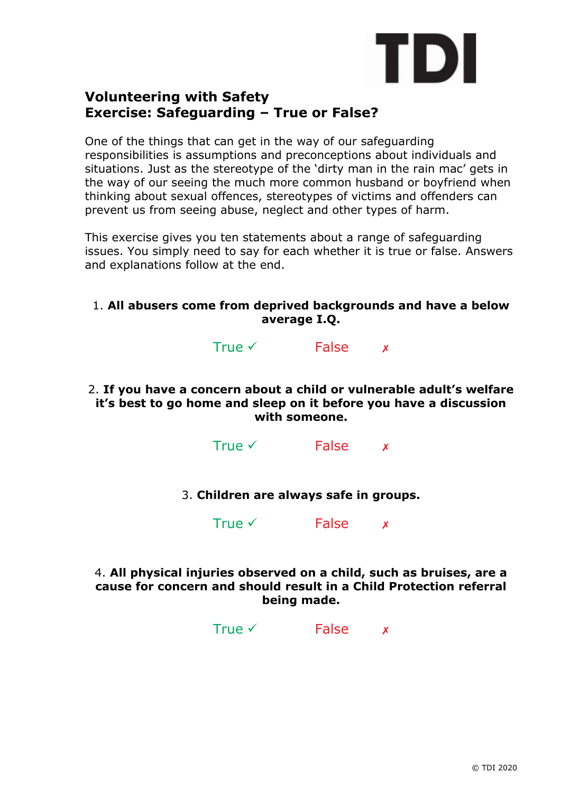

# **Volunteering with Safety Exercise: Safeguarding – True or False?**

One of the things that can get in the way of our safeguarding responsibilities is assumptions and preconceptions about individuals and situations. Just as the stereotype of the 'dirty man in the rain mac' gets in the way of our seeing the much more common husband or boyfriend when thinking about sexual offences, stereotypes of victims and offenders can prevent us from seeing abuse, neglect and other types of harm.

This exercise gives you ten statements about a range of safeguarding issues. You simply need to say for each whether it is true or false. Answers and explanations follow at the end.

# 1. **All abusers come from deprived backgrounds and have a below average I.Q.**

True  $\checkmark$  False  $\checkmark$ 

2. **If you have a concern about a child or vulnerable adult's welfare it's best to go home and sleep on it before you have a discussion with someone.**

True  $\checkmark$  False  $\checkmark$ 

3. **Children are always safe in groups.**

True  $\checkmark$  False  $\checkmark$ 

4. **All physical injuries observed on a child, such as bruises, are a cause for concern and should result in a Child Protection referral being made.**

True  $\checkmark$  False  $\checkmark$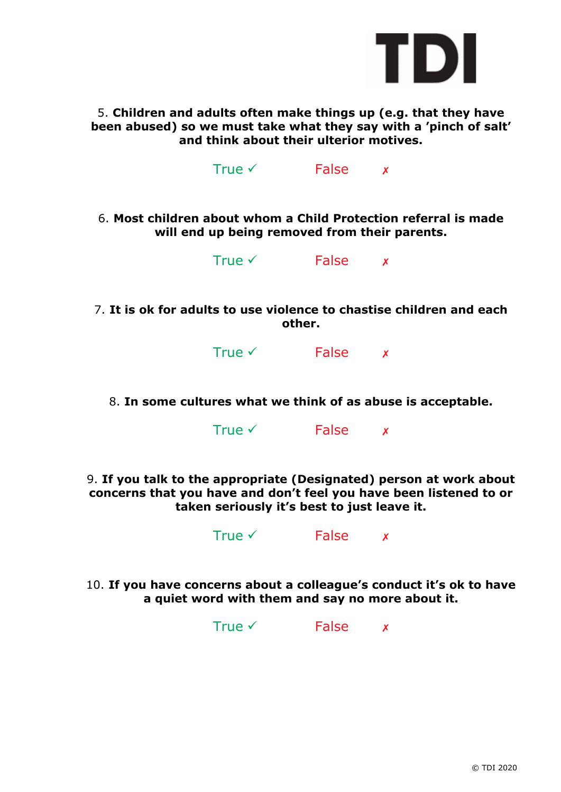

5. **Children and adults often make things up (e.g. that they have been abused) so we must take what they say with a 'pinch of salt' and think about their ulterior motives.**

True  $\checkmark$  False  $\checkmark$ 

6. **Most children about whom a Child Protection referral is made will end up being removed from their parents.**

| True $\checkmark$ | False |  |
|-------------------|-------|--|
|-------------------|-------|--|

7. **It is ok for adults to use violence to chastise children and each other.**

True  $\checkmark$  False  $\checkmark$ 

8. **In some cultures what we think of as abuse is acceptable.**

True  $\checkmark$  False  $\checkmark$ 

9. **If you talk to the appropriate (Designated) person at work about concerns that you have and don't feel you have been listened to or taken seriously it's best to just leave it.**

True  $\checkmark$  False  $\checkmark$ 

10. **If you have concerns about a colleague's conduct it's ok to have a quiet word with them and say no more about it.**

True  $\checkmark$  False  $\checkmark$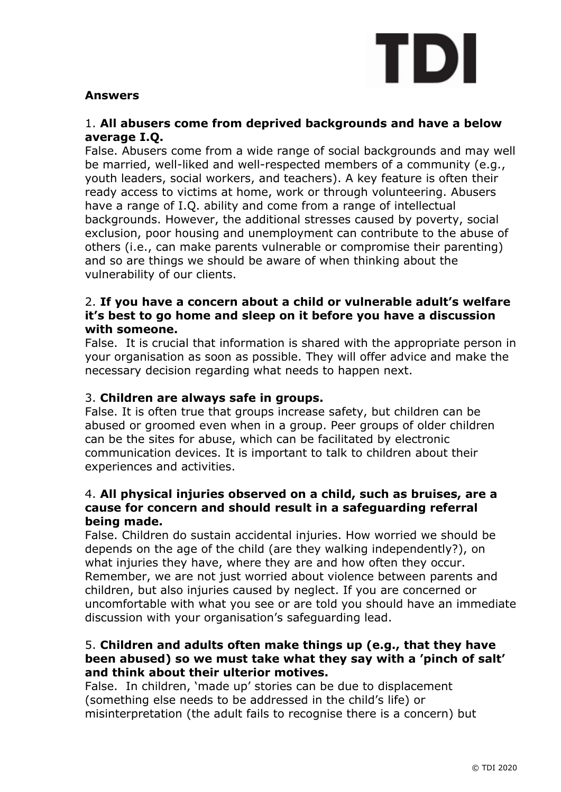

# **Answers**

# 1. **All abusers come from deprived backgrounds and have a below average I.Q.**

False. Abusers come from a wide range of social backgrounds and may well be married, well-liked and well-respected members of a community (e.g., youth leaders, social workers, and teachers). A key feature is often their ready access to victims at home, work or through volunteering. Abusers have a range of I.Q. ability and come from a range of intellectual backgrounds. However, the additional stresses caused by poverty, social exclusion, poor housing and unemployment can contribute to the abuse of others (i.e., can make parents vulnerable or compromise their parenting) and so are things we should be aware of when thinking about the vulnerability of our clients.

# 2. **If you have a concern about a child or vulnerable adult's welfare it's best to go home and sleep on it before you have a discussion with someone.**

False. It is crucial that information is shared with the appropriate person in your organisation as soon as possible. They will offer advice and make the necessary decision regarding what needs to happen next.

# 3. **Children are always safe in groups.**

False. It is often true that groups increase safety, but children can be abused or groomed even when in a group. Peer groups of older children can be the sites for abuse, which can be facilitated by electronic communication devices. It is important to talk to children about their experiences and activities.

## 4. **All physical injuries observed on a child, such as bruises, are a cause for concern and should result in a safeguarding referral being made.**

False. Children do sustain accidental injuries. How worried we should be depends on the age of the child (are they walking independently?), on what injuries they have, where they are and how often they occur. Remember, we are not just worried about violence between parents and children, but also injuries caused by neglect. If you are concerned or uncomfortable with what you see or are told you should have an immediate discussion with your organisation's safeguarding lead.

#### 5. **Children and adults often make things up (e.g., that they have been abused) so we must take what they say with a 'pinch of salt' and think about their ulterior motives.**

False. In children, 'made up' stories can be due to displacement (something else needs to be addressed in the child's life) or misinterpretation (the adult fails to recognise there is a concern) but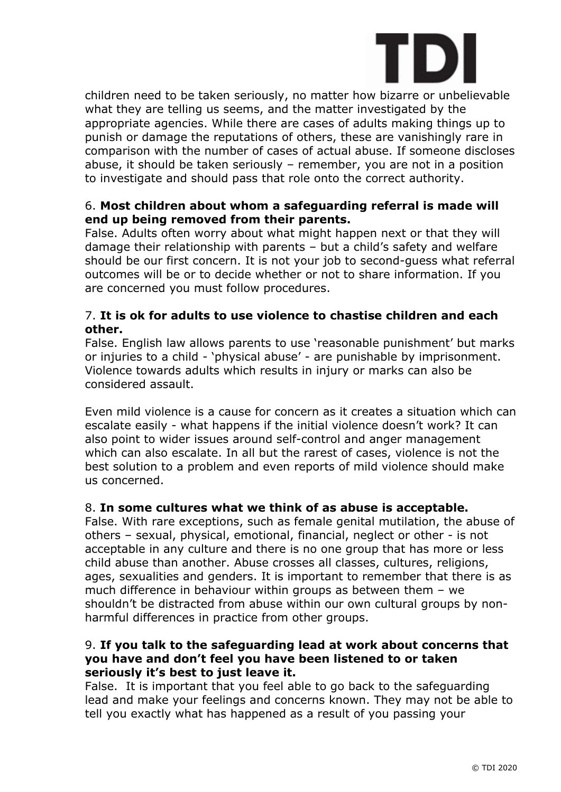

children need to be taken seriously, no matter how bizarre or unbelievable what they are telling us seems, and the matter investigated by the appropriate agencies. While there are cases of adults making things up to punish or damage the reputations of others, these are vanishingly rare in comparison with the number of cases of actual abuse. If someone discloses abuse, it should be taken seriously – remember, you are not in a position to investigate and should pass that role onto the correct authority.

# 6. **Most children about whom a safeguarding referral is made will end up being removed from their parents.**

False. Adults often worry about what might happen next or that they will damage their relationship with parents – but a child's safety and welfare should be our first concern. It is not your job to second-guess what referral outcomes will be or to decide whether or not to share information. If you are concerned you must follow procedures.

# 7. **It is ok for adults to use violence to chastise children and each other.**

False. English law allows parents to use 'reasonable punishment' but marks or injuries to a child - 'physical abuse' - are punishable by imprisonment. Violence towards adults which results in injury or marks can also be considered assault.

Even mild violence is a cause for concern as it creates a situation which can escalate easily - what happens if the initial violence doesn't work? It can also point to wider issues around self-control and anger management which can also escalate. In all but the rarest of cases, violence is not the best solution to a problem and even reports of mild violence should make us concerned.

# 8. **In some cultures what we think of as abuse is acceptable.**

False. With rare exceptions, such as female genital mutilation, the abuse of others – sexual, physical, emotional, financial, neglect or other - is not acceptable in any culture and there is no one group that has more or less child abuse than another. Abuse crosses all classes, cultures, religions, ages, sexualities and genders. It is important to remember that there is as much difference in behaviour within groups as between them – we shouldn't be distracted from abuse within our own cultural groups by nonharmful differences in practice from other groups.

## 9. **If you talk to the safeguarding lead at work about concerns that you have and don't feel you have been listened to or taken seriously it's best to just leave it.**

False. It is important that you feel able to go back to the safeguarding lead and make your feelings and concerns known. They may not be able to tell you exactly what has happened as a result of you passing your